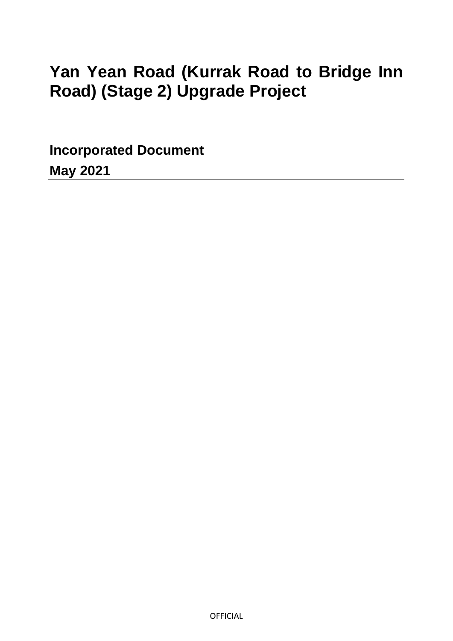# **Yan Yean Road (Kurrak Road to Bridge Inn Road) (Stage 2) Upgrade Project**

**Incorporated Document May 2021**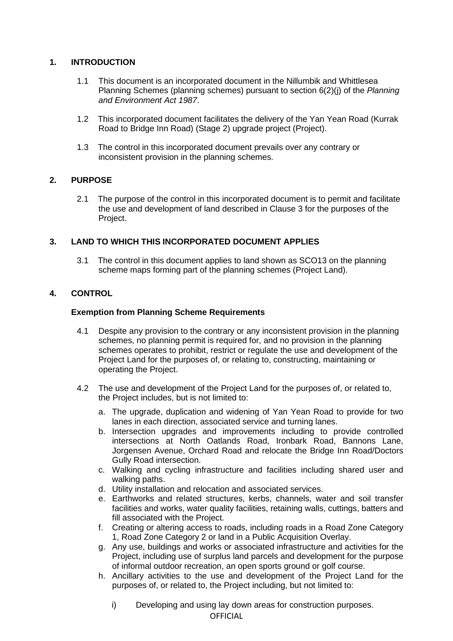# **1. INTRODUCTION**

- 1.1 This document is an incorporated document in the Nillumbik and Whittlesea Planning Schemes (planning schemes) pursuant to section 6(2)(j) of the *Planning and Environment Act 1987*.
- 1.2 This incorporated document facilitates the delivery of the Yan Yean Road (Kurrak Road to Bridge Inn Road) (Stage 2) upgrade project (Project).
- 1.3 The control in this incorporated document prevails over any contrary or inconsistent provision in the planning schemes.

## **2. PURPOSE**

2.1 The purpose of the control in this incorporated document is to permit and facilitate the use and development of land described in Clause 3 for the purposes of the Project.

# **3. LAND TO WHICH THIS INCORPORATED DOCUMENT APPLIES**

3.1 The control in this document applies to land shown as SCO13 on the planning scheme maps forming part of the planning schemes (Project Land).

# **4. CONTROL**

## **Exemption from Planning Scheme Requirements**

- 4.1 Despite any provision to the contrary or any inconsistent provision in the planning schemes, no planning permit is required for, and no provision in the planning schemes operates to prohibit, restrict or regulate the use and development of the Project Land for the purposes of, or relating to, constructing, maintaining or operating the Project.
- 4.2 The use and development of the Project Land for the purposes of, or related to, the Project includes, but is not limited to:
	- a. The upgrade, duplication and widening of Yan Yean Road to provide for two lanes in each direction, associated service and turning lanes.
	- b. Intersection upgrades and improvements including to provide controlled intersections at North Oatlands Road, Ironbark Road, Bannons Lane, Jorgensen Avenue, Orchard Road and relocate the Bridge Inn Road/Doctors Gully Road intersection.
	- c. Walking and cycling infrastructure and facilities including shared user and walking paths.
	- d. Utility installation and relocation and associated services.
	- e. Earthworks and related structures, kerbs, channels, water and soil transfer facilities and works, water quality facilities, retaining walls, cuttings, batters and fill associated with the Project.
	- f. Creating or altering access to roads, including roads in a Road Zone Category 1, Road Zone Category 2 or land in a Public Acquisition Overlay.
	- g. Any use, buildings and works or associated infrastructure and activities for the Project, including use of surplus land parcels and development for the purpose of informal outdoor recreation, an open sports ground or golf course.
	- h. Ancillary activities to the use and development of the Project Land for the purposes of, or related to, the Project including, but not limited to:

OFFICIAL i) Developing and using lay down areas for construction purposes.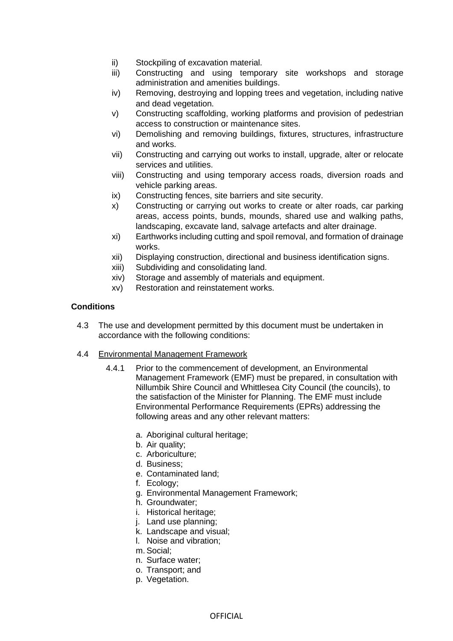- ii) Stockpiling of excavation material.
- iii) Constructing and using temporary site workshops and storage administration and amenities buildings.
- iv) Removing, destroying and lopping trees and vegetation, including native and dead vegetation.
- v) Constructing scaffolding, working platforms and provision of pedestrian access to construction or maintenance sites.
- vi) Demolishing and removing buildings, fixtures, structures, infrastructure and works.
- vii) Constructing and carrying out works to install, upgrade, alter or relocate services and utilities.
- viii) Constructing and using temporary access roads, diversion roads and vehicle parking areas.
- ix) Constructing fences, site barriers and site security.
- x) Constructing or carrying out works to create or alter roads, car parking areas, access points, bunds, mounds, shared use and walking paths, landscaping, excavate land, salvage artefacts and alter drainage.
- xi) Earthworks including cutting and spoil removal, and formation of drainage works.
- xii) Displaying construction, directional and business identification signs.
- xiii) Subdividing and consolidating land.
- xiv) Storage and assembly of materials and equipment.
- xv) Restoration and reinstatement works.

## **Conditions**

- 4.3 The use and development permitted by this document must be undertaken in accordance with the following conditions:
- 4.4 Environmental Management Framework
	- 4.4.1 Prior to the commencement of development, an Environmental Management Framework (EMF) must be prepared, in consultation with Nillumbik Shire Council and Whittlesea City Council (the councils), to the satisfaction of the Minister for Planning. The EMF must include Environmental Performance Requirements (EPRs) addressing the following areas and any other relevant matters:
		- a. Aboriginal cultural heritage;
		- b. Air quality;
		- c. Arboriculture;
		- d. Business;
		- e. Contaminated land;
		- f. Ecology;
		- g. Environmental Management Framework;
		- h. Groundwater;
		- i. Historical heritage;
		- j. Land use planning;
		- k. Landscape and visual;
		- l. Noise and vibration;
		- m. Social;
		- n. Surface water;
		- o. Transport; and
		- p. Vegetation.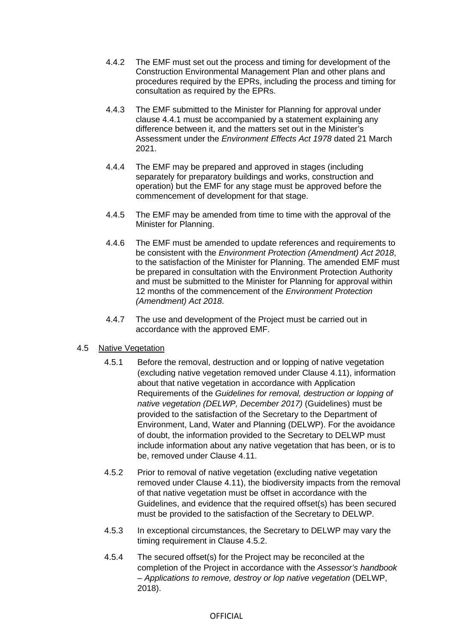- 4.4.2 The EMF must set out the process and timing for development of the Construction Environmental Management Plan and other plans and procedures required by the EPRs, including the process and timing for consultation as required by the EPRs.
- 4.4.3 The EMF submitted to the Minister for Planning for approval under clause 4.4.1 must be accompanied by a statement explaining any difference between it, and the matters set out in the Minister's Assessment under the *Environment Effects Act 1978* dated 21 March 2021.
- 4.4.4 The EMF may be prepared and approved in stages (including separately for preparatory buildings and works, construction and operation) but the EMF for any stage must be approved before the commencement of development for that stage.
- 4.4.5 The EMF may be amended from time to time with the approval of the Minister for Planning.
- 4.4.6 The EMF must be amended to update references and requirements to be consistent with the *Environment Protection (Amendment) Act 2018*, to the satisfaction of the Minister for Planning. The amended EMF must be prepared in consultation with the Environment Protection Authority and must be submitted to the Minister for Planning for approval within 12 months of the commencement of the *Environment Protection (Amendment) Act 2018*.
- 4.4.7 The use and development of the Project must be carried out in accordance with the approved EMF.

## 4.5 Native Vegetation

- 4.5.1 Before the removal, destruction and or lopping of native vegetation (excluding native vegetation removed under Clause 4.11), information about that native vegetation in accordance with Application Requirements of the *Guidelines for removal, destruction or lopping of native vegetation (DELWP, December 2017)* (Guidelines) must be provided to the satisfaction of the Secretary to the Department of Environment, Land, Water and Planning (DELWP). For the avoidance of doubt, the information provided to the Secretary to DELWP must include information about any native vegetation that has been, or is to be, removed under Clause 4.11.
- 4.5.2 Prior to removal of native vegetation (excluding native vegetation removed under Clause 4.11), the biodiversity impacts from the removal of that native vegetation must be offset in accordance with the Guidelines, and evidence that the required offset(s) has been secured must be provided to the satisfaction of the Secretary to DELWP.
- 4.5.3 In exceptional circumstances, the Secretary to DELWP may vary the timing requirement in Clause 4.5.2.
- 4.5.4 The secured offset(s) for the Project may be reconciled at the completion of the Project in accordance with the *Assessor's handbook – Applications to remove, destroy or lop native vegetation* (DELWP, 2018).

#### OFFICIAL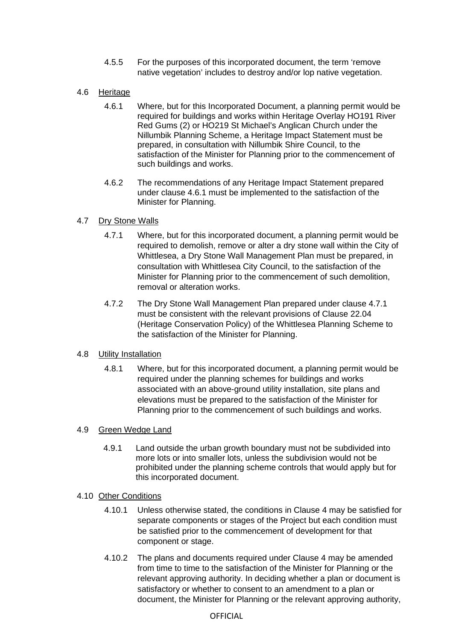- 4.5.5 For the purposes of this incorporated document, the term 'remove native vegetation' includes to destroy and/or lop native vegetation.
- 4.6 Heritage
	- 4.6.1 Where, but for this Incorporated Document, a planning permit would be required for buildings and works within Heritage Overlay HO191 River Red Gums (2) or HO219 St Michael's Anglican Church under the Nillumbik Planning Scheme, a Heritage Impact Statement must be prepared, in consultation with Nillumbik Shire Council, to the satisfaction of the Minister for Planning prior to the commencement of such buildings and works.
	- 4.6.2 The recommendations of any Heritage Impact Statement prepared under clause 4.6.1 must be implemented to the satisfaction of the Minister for Planning.

## 4.7 Dry Stone Walls

- 4.7.1 Where, but for this incorporated document, a planning permit would be required to demolish, remove or alter a dry stone wall within the City of Whittlesea, a Dry Stone Wall Management Plan must be prepared, in consultation with Whittlesea City Council, to the satisfaction of the Minister for Planning prior to the commencement of such demolition, removal or alteration works.
- 4.7.2 The Dry Stone Wall Management Plan prepared under clause 4.7.1 must be consistent with the relevant provisions of Clause 22.04 (Heritage Conservation Policy) of the Whittlesea Planning Scheme to the satisfaction of the Minister for Planning.

## 4.8 Utility Installation

4.8.1 Where, but for this incorporated document, a planning permit would be required under the planning schemes for buildings and works associated with an above-ground utility installation, site plans and elevations must be prepared to the satisfaction of the Minister for Planning prior to the commencement of such buildings and works.

## 4.9 Green Wedge Land

4.9.1 Land outside the urban growth boundary must not be subdivided into more lots or into smaller lots, unless the subdivision would not be prohibited under the planning scheme controls that would apply but for this incorporated document.

## 4.10 Other Conditions

- 4.10.1 Unless otherwise stated, the conditions in Clause 4 may be satisfied for separate components or stages of the Project but each condition must be satisfied prior to the commencement of development for that component or stage.
- 4.10.2 The plans and documents required under Clause 4 may be amended from time to time to the satisfaction of the Minister for Planning or the relevant approving authority. In deciding whether a plan or document is satisfactory or whether to consent to an amendment to a plan or document, the Minister for Planning or the relevant approving authority,

#### **OFFICIAL**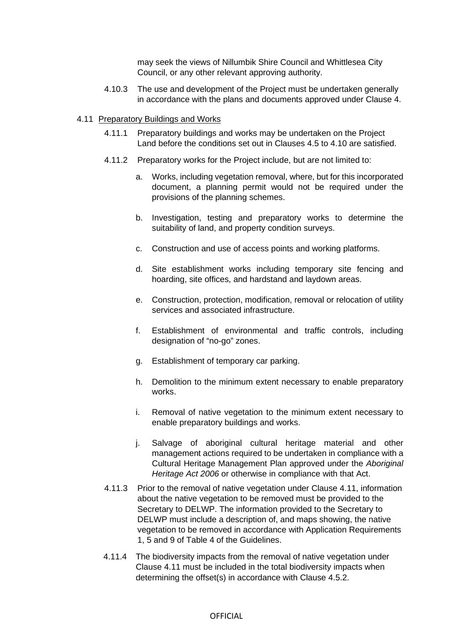may seek the views of Nillumbik Shire Council and Whittlesea City Council, or any other relevant approving authority.

4.10.3 The use and development of the Project must be undertaken generally in accordance with the plans and documents approved under Clause 4.

#### 4.11 Preparatory Buildings and Works

- 4.11.1 Preparatory buildings and works may be undertaken on the Project Land before the conditions set out in Clauses 4.5 to 4.10 are satisfied.
- 4.11.2 Preparatory works for the Project include, but are not limited to:
	- a. Works, including vegetation removal, where, but for this incorporated document, a planning permit would not be required under the provisions of the planning schemes.
	- b. Investigation, testing and preparatory works to determine the suitability of land, and property condition surveys.
	- c. Construction and use of access points and working platforms.
	- d. Site establishment works including temporary site fencing and hoarding, site offices, and hardstand and laydown areas.
	- e. Construction, protection, modification, removal or relocation of utility services and associated infrastructure.
	- f. Establishment of environmental and traffic controls, including designation of "no-go" zones.
	- g. Establishment of temporary car parking.
	- h. Demolition to the minimum extent necessary to enable preparatory works.
	- i. Removal of native vegetation to the minimum extent necessary to enable preparatory buildings and works.
	- j. Salvage of aboriginal cultural heritage material and other management actions required to be undertaken in compliance with a Cultural Heritage Management Plan approved under the *Aboriginal Heritage Act 2006* or otherwise in compliance with that Act.
- 4.11.3 Prior to the removal of native vegetation under Clause 4.11, information about the native vegetation to be removed must be provided to the Secretary to DELWP. The information provided to the Secretary to DELWP must include a description of, and maps showing, the native vegetation to be removed in accordance with Application Requirements 1, 5 and 9 of Table 4 of the Guidelines.
- 4.11.4 The biodiversity impacts from the removal of native vegetation under Clause 4.11 must be included in the total biodiversity impacts when determining the offset(s) in accordance with Clause 4.5.2.

#### OFFICIAL